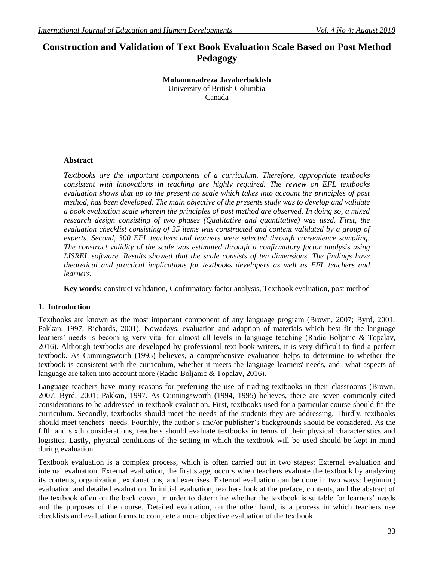# **Construction and Validation of Text Book Evaluation Scale Based on Post Method Pedagogy**

#### **Mohammadreza Javaherbakhsh** University of British Columbia Canada

#### **Abstract**

*Textbooks are the important components of a curriculum. Therefore, appropriate textbooks consistent with innovations in teaching are highly required. The review on EFL textbooks evaluation shows that up to the present no scale which takes into account the principles of post method, has been developed. The main objective of the presents study was to develop and validate a book evaluation scale wherein the principles of post method are observed. In doing so, a mixed research design consisting of two phases (Qualitative and quantitative) was used. First, the evaluation checklist consisting of 35 items was constructed and content validated by a group of experts. Second, 300 EFL teachers and learners were selected through convenience sampling. The construct validity of the scale was estimated through a confirmatory factor analysis using LISREL software. Results showed that the scale consists of ten dimensions. The findings have theoretical and practical implications for textbooks developers as well as EFL teachers and learners.* 

**Key words:** construct validation, Confirmatory factor analysis, Textbook evaluation, post method

#### **1. Introduction**

Textbooks are known as the most important component of any language program (Brown, 2007; Byrd, 2001; Pakkan, 1997, Richards, 2001). Nowadays, evaluation and adaption of materials which best fit the language learners' needs is becoming very vital for almost all levels in language teaching (Radic-Boljanic & Topalav, 2016). Although textbooks are developed by professional text book writers, it is very difficult to find a perfect textbook. As Cunningsworth (1995) believes, a comprehensive evaluation helps to determine to whether the textbook is consistent with the curriculum, whether it meets the language learners' needs, and what aspects of language are taken into account more (Radic-Boljanic & Topalav, 2016).

Language teachers have many reasons for preferring the use of trading textbooks in their classrooms (Brown, 2007; Byrd, 2001; Pakkan, 1997. As Cunningsworth (1994, 1995) believes, there are seven commonly cited considerations to be addressed in textbook evaluation. First, textbooks used for a particular course should fit the curriculum. Secondly, textbooks should meet the needs of the students they are addressing. Thirdly, textbooks should meet teachers' needs. Fourthly, the author's and/or publisher's backgrounds should be considered. As the fifth and sixth considerations, teachers should evaluate textbooks in terms of their physical characteristics and logistics. Lastly, physical conditions of the setting in which the textbook will be used should be kept in mind during evaluation.

Textbook evaluation is a complex process, which is often carried out in two stages: External evaluation and internal evaluation. External evaluation, the first stage, occurs when teachers evaluate the textbook by analyzing its contents, organization, explanations, and exercises. External evaluation can be done in two ways: beginning evaluation and detailed evaluation. In initial evaluation, teachers look at the preface, contents, and the abstract of the textbook often on the back cover, in order to determine whether the textbook is suitable for learners' needs and the purposes of the course. Detailed evaluation, on the other hand, is a process in which teachers use checklists and evaluation forms to complete a more objective evaluation of the textbook.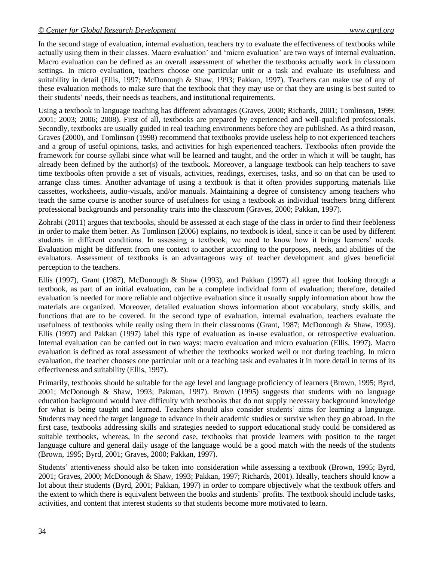In the second stage of evaluation, internal evaluation, teachers try to evaluate the effectiveness of textbooks while actually using them in their classes. Macro evaluation' and 'micro evaluation' are two ways of internal evaluation. Macro evaluation can be defined as an overall assessment of whether the textbooks actually work in classroom settings. In micro evaluation, teachers choose one particular unit or a task and evaluate its usefulness and suitability in detail (Ellis, 1997; McDonough & Shaw, 1993; Pakkan, 1997). Teachers can make use of any of these evaluation methods to make sure that the textbook that they may use or that they are using is best suited to their students" needs, their needs as teachers, and institutional requirements.

Using a textbook in language teaching has different advantages (Graves, 2000; Richards, 2001; Tomlinson, 1999; 2001; 2003; 2006; 2008). First of all, textbooks are prepared by experienced and well-qualified professionals. Secondly, textbooks are usually guided in real teaching environments before they are published. As a third reason, Graves (2000), and Tomlinson (1998) recommend that textbooks provide useless help to not experienced teachers and a group of useful opinions, tasks, and activities for high experienced teachers. Textbooks often provide the framework for course syllabi since what will be learned and taught, and the order in which it will be taught, has already been defined by the author(s) of the textbook. Moreover, a language textbook can help teachers to save time textbooks often provide a set of visuals, activities, readings, exercises, tasks, and so on that can be used to arrange class times. Another advantage of using a textbook is that it often provides supporting materials like cassettes, worksheets, audio-visuals, and/or manuals. Maintaining a degree of consistency among teachers who teach the same course is another source of usefulness for using a textbook as individual teachers bring different professional backgrounds and personality traits into the classroom (Graves, 2000; Pakkan, 1997).

Zohrabi (2011) argues that textbooks, should be assessed at each stage of the class in order to find their feebleness in order to make them better. As Tomlinson (2006) explains, no textbook is ideal, since it can be used by different students in different conditions. In assessing a textbook, we need to know how it brings learners" needs. Evaluation might be different from one context to another according to the purposes, needs, and abilities of the evaluators. Assessment of textbooks is an advantageous way of teacher development and gives beneficial perception to the teachers.

Ellis (1997), Grant (1987), McDonough & Shaw (1993), and Pakkan (1997) all agree that looking through a textbook, as part of an initial evaluation, can be a complete individual form of evaluation; therefore, detailed evaluation is needed for more reliable and objective evaluation since it usually supply information about how the materials are organized. Moreover, detailed evaluation shows information about vocabulary, study skills, and functions that are to be covered. In the second type of evaluation, internal evaluation, teachers evaluate the usefulness of textbooks while really using them in their classrooms (Grant, 1987; McDonough & Shaw, 1993). Ellis (1997) and Pakkan (1997) label this type of evaluation as in-use evaluation, or retrospective evaluation. Internal evaluation can be carried out in two ways: macro evaluation and micro evaluation (Ellis, 1997). Macro evaluation is defined as total assessment of whether the textbooks worked well or not during teaching. In micro evaluation*,* the teacher chooses one particular unit or a teaching task and evaluates it in more detail in terms of its effectiveness and suitability (Ellis, 1997).

Primarily, textbooks should be suitable for the age level and language proficiency of learners (Brown, 1995; Byrd, 2001; McDonough & Shaw, 1993; Pakman, 1997). Brown (1995) suggests that students with no language education background would have difficulty with textbooks that do not supply necessary background knowledge for what is being taught and learned. Teachers should also consider students" aims for learning a language. Students may need the target language to advance in their academic studies or survive when they go abroad. In the first case, textbooks addressing skills and strategies needed to support educational study could be considered as suitable textbooks, whereas, in the second case, textbooks that provide learners with position to the target language culture and general daily usage of the language would be a good match with the needs of the students (Brown, 1995; Byrd, 2001; Graves, 2000; Pakkan, 1997).

Students" attentiveness should also be taken into consideration while assessing a textbook (Brown, 1995; Byrd, 2001; Graves, 2000; McDonough & Shaw, 1993; Pakkan, 1997; Richards, 2001). Ideally, teachers should know a lot about their students (Byrd, 2001; Pakkan, 1997) in order to compare objectively what the textbook offers and the extent to which there is equivalent between the books and students` profits. The textbook should include tasks, activities, and content that interest students so that students become more motivated to learn.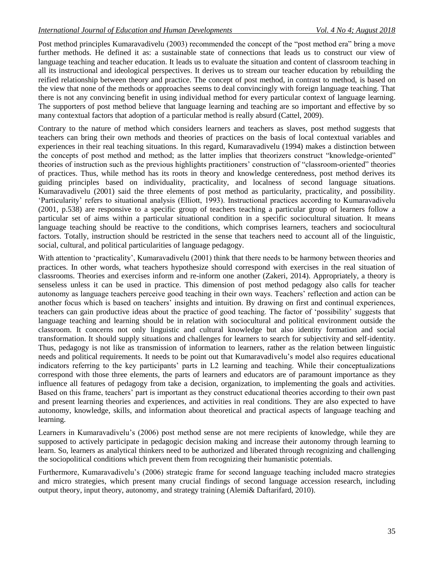Post method principles Kumaravadivelu (2003) recommended the concept of the "post method era" bring a move further methods. He defined it as: a sustainable state of connections that leads us to construct our view of language teaching and teacher education. It leads us to evaluate the situation and content of classroom teaching in all its instructional and ideological perspectives. It derives us to stream our teacher education by rebuilding the reified relationship between theory and practice. The concept of post method, in contrast to method, is based on the view that none of the methods or approaches seems to deal convincingly with foreign language teaching. That there is not any convincing benefit in using individual method for every particular context of language learning. The supporters of post method believe that language learning and teaching are so important and effective by so many contextual factors that adoption of a particular method is really absurd (Cattel, 2009).

Contrary to the nature of method which considers learners and teachers as slaves, post method suggests that teachers can bring their own methods and theories of practices on the basis of local contextual variables and experiences in their real teaching situations. In this regard, Kumaravadivelu (1994) makes a distinction between the concepts of post method and method; as the latter implies that theorizers construct "knowledge-oriented" theories of instruction such as the previous highlights practitioners" construction of "classroom-oriented" theories of practices. Thus, while method has its roots in theory and knowledge centeredness, post method derives its guiding principles based on individuality, practicality, and localness of second language situations. Kumaravadivelu (2001) said the three elements of post method as particularity, practicality, and possibility. "Particularity" refers to situational analysis (Elliott, 1993). Instructional practices according to Kumaravadivelu (2001, p.538) are responsive to a specific group of teachers teaching a particular group of learners follow a particular set of aims within a particular situational condition in a specific sociocultural situation. It means language teaching should be reactive to the conditions, which comprises learners, teachers and sociocultural factors. Totally, instruction should be restricted in the sense that teachers need to account all of the linguistic, social, cultural, and political particularities of language pedagogy.

With attention to 'practicality', Kumaravadivelu (2001) think that there needs to be harmony between theories and practices. In other words, what teachers hypothesize should correspond with exercises in the real situation of classrooms. Theories and exercises inform and re-inform one another (Zakeri, 2014). Appropriately, a theory is senseless unless it can be used in practice. This dimension of post method pedagogy also calls for teacher autonomy as language teachers perceive good teaching in their own ways. Teachers" reflection and action can be another focus which is based on teachers" insights and intuition. By drawing on first and continual experiences, teachers can gain productive ideas about the practice of good teaching. The factor of "possibility" suggests that language teaching and learning should be in relation with sociocultural and political environment outside the classroom. It concerns not only linguistic and cultural knowledge but also identity formation and social transformation. It should supply situations and challenges for learners to search for subjectivity and self-identity. Thus, pedagogy is not like as transmission of information to learners, rather as the relation between linguistic needs and political requirements. It needs to be point out that Kumaravadivelu"s model also requires educational indicators referring to the key participants" parts in L2 learning and teaching. While their conceptualizations correspond with those three elements, the parts of learners and educators are of paramount importance as they influence all features of pedagogy from take a decision, organization, to implementing the goals and activities. Based on this frame, teachers' part is important as they construct educational theories according to their own past and present learning theories and experiences, and activities in real conditions. They are also expected to have autonomy, knowledge, skills, and information about theoretical and practical aspects of language teaching and learning.

Learners in Kumaravadivelu's (2006) post method sense are not mere recipients of knowledge, while they are supposed to actively participate in pedagogic decision making and increase their autonomy through learning to learn. So, learners as analytical thinkers need to be authorized and liberated through recognizing and challenging the sociopolitical conditions which prevent them from recognizing their humanistic potentials.

Furthermore, Kumaravadivelu"s (2006) strategic frame for second language teaching included macro strategies and micro strategies, which present many crucial findings of second language accession research, including output theory, input theory, autonomy, and strategy training (Alemi& Daftarifard, 2010).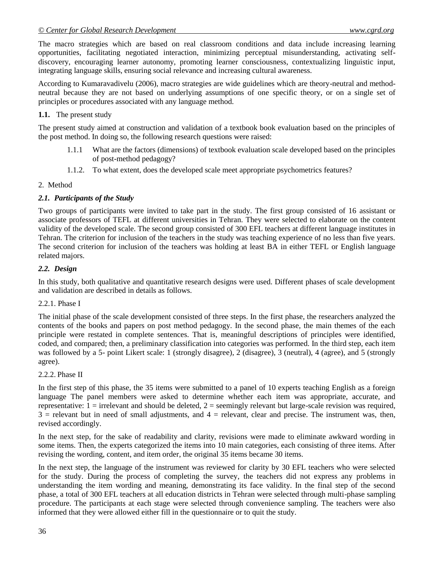The macro strategies which are based on real classroom conditions and data include increasing learning opportunities, facilitating negotiated interaction, minimizing perceptual misunderstanding, activating selfdiscovery, encouraging learner autonomy, promoting learner consciousness, contextualizing linguistic input, integrating language skills, ensuring social relevance and increasing cultural awareness.

According to Kumaravadivelu (2006), macro strategies are wide guidelines which are theory-neutral and methodneutral because they are not based on underlying assumptions of one specific theory, or on a single set of principles or procedures associated with any language method.

### **1.1.** The present study

The present study aimed at construction and validation of a textbook book evaluation based on the principles of the post method. In doing so, the following research questions were raised:

- 1.1.1 What are the factors (dimensions) of textbook evaluation scale developed based on the principles of post-method pedagogy?
- 1.1.2. To what extent, does the developed scale meet appropriate psychometrics features?

### 2. Method

### *2.1. Participants of the Study*

Two groups of participants were invited to take part in the study. The first group consisted of 16 assistant or associate professors of TEFL at different universities in Tehran. They were selected to elaborate on the content validity of the developed scale. The second group consisted of 300 EFL teachers at different language institutes in Tehran. The criterion for inclusion of the teachers in the study was teaching experience of no less than five years. The second criterion for inclusion of the teachers was holding at least BA in either TEFL or English language related majors.

### *2.2. Design*

In this study, both qualitative and quantitative research designs were used. Different phases of scale development and validation are described in details as follows.

### 2.2.1. Phase I

The initial phase of the scale development consisted of three steps. In the first phase, the researchers analyzed the contents of the books and papers on post method pedagogy. In the second phase, the main themes of the each principle were restated in complete sentences. That is, meaningful descriptions of principles were identified, coded, and compared; then, a preliminary classification into categories was performed. In the third step, each item was followed by a 5- point Likert scale: 1 (strongly disagree), 2 (disagree), 3 (neutral), 4 (agree), and 5 (strongly agree).

#### 2.2.2. Phase II

In the first step of this phase, the 35 items were submitted to a panel of 10 experts teaching English as a foreign language The panel members were asked to determine whether each item was appropriate, accurate, and representative:  $1 =$  irrelevant and should be deleted,  $2 =$  seemingly relevant but large-scale revision was required,  $3$  = relevant but in need of small adjustments, and  $4$  = relevant, clear and precise. The instrument was, then, revised accordingly.

In the next step, for the sake of readability and clarity, revisions were made to eliminate awkward wording in some items. Then, the experts categorized the items into 10 main categories, each consisting of three items. After revising the wording, content, and item order, the original 35 items became 30 items.

In the next step, the language of the instrument was reviewed for clarity by 30 EFL teachers who were selected for the study. During the process of completing the survey, the teachers did not express any problems in understanding the item wording and meaning, demonstrating its face validity. In the final step of the second phase, a total of 300 EFL teachers at all education districts in Tehran were selected through multi-phase sampling procedure. The participants at each stage were selected through convenience sampling. The teachers were also informed that they were allowed either fill in the questionnaire or to quit the study.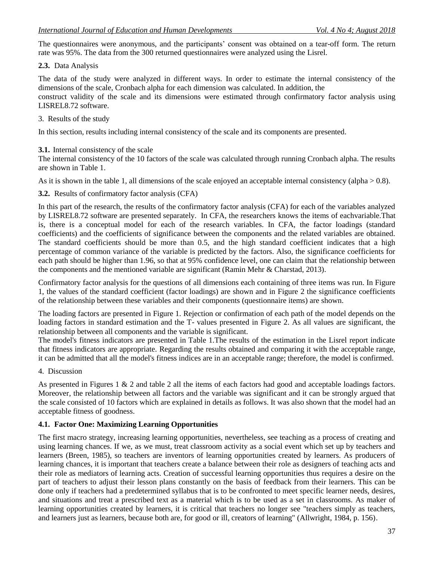The questionnaires were anonymous, and the participants" consent was obtained on a tear-off form. The return rate was 95%. The data from the 300 returned questionnaires were analyzed using the Lisrel.

**2.3.** Data Analysis

The data of the study were analyzed in different ways. In order to estimate the internal consistency of the dimensions of the scale, Cronbach alpha for each dimension was calculated. In addition, the construct validity of the scale and its dimensions were estimated through confirmatory factor analysis using LISREL8.72 software.

3. Results of the study

In this section, results including internal consistency of the scale and its components are presented.

### **3.1.** Internal consistency of the scale

The internal consistency of the 10 factors of the scale was calculated through running Cronbach alpha. The results are shown in Table 1.

As it is shown in the table 1, all dimensions of the scale enjoyed an acceptable internal consistency (alpha  $> 0.8$ ).

**3.2.** Results of confirmatory factor analysis (CFA)

In this part of the research, the results of the confirmatory factor analysis (CFA) for each of the variables analyzed by LISREL8.72 software are presented separately. In CFA, the researchers knows the items of eachvariable.That is, there is a conceptual model for each of the research variables. In CFA, the factor loadings (standard coefficients) and the coefficients of significance between the components and the related variables are obtained. The standard coefficients should be more than 0.5, and the high standard coefficient indicates that a high percentage of common variance of the variable is predicted by the factors. Also, the significance coefficients for each path should be higher than 1.96, so that at 95% confidence level, one can claim that the relationship between the components and the mentioned variable are significant (Ramin Mehr & Charstad, 2013).

Confirmatory factor analysis for the questions of all dimensions each containing of three items was run. In Figure 1, the values of the standard coefficient (factor loadings) are shown and in Figure 2 the significance coefficients of the relationship between these variables and their components (questionnaire items) are shown.

The loading factors are presented in Figure 1. Rejection or confirmation of each path of the model depends on the loading factors in standard estimation and the T- values presented in Figure 2. As all values are significant, the relationship between all components and the variable is significant.

The model's fitness indicators are presented in Table 1.The results of the estimation in the Lisrel report indicate that fitness indicators are appropriate. Regarding the results obtained and comparing it with the acceptable range, it can be admitted that all the model's fitness indices are in an acceptable range; therefore, the model is confirmed.

4. Discussion

As presented in Figures 1 & 2 and table 2 all the items of each factors had good and acceptable loadings factors. Moreover, the relationship between all factors and the variable was significant and it can be strongly argued that the scale consisted of 10 factors which are explained in details as follows. It was also shown that the model had an acceptable fitness of goodness.

### **4.1. Factor One: Maximizing Learning Opportunities**

The first macro strategy, increasing learning opportunities, nevertheless, see teaching as a process of creating and using learning chances. If we, as we must, treat classroom activity as a social event which set up by teachers and learners (Breen, 1985), so teachers are inventors of learning opportunities created by learners. As producers of learning chances, it is important that teachers create a balance between their role as designers of teaching acts and their role as mediators of learning acts. Creation of successful learning opportunities thus requires a desire on the part of teachers to adjust their lesson plans constantly on the basis of feedback from their learners. This can be done only if teachers had a predetermined syllabus that is to be confronted to meet specific learner needs, desires, and situations and treat a prescribed text as a material which is to be used as a set in classrooms. As maker of learning opportunities created by learners, it is critical that teachers no longer see "teachers simply as teachers, and learners just as learners, because both are, for good or ill, creators of learning" (Allwright, 1984, p. 156).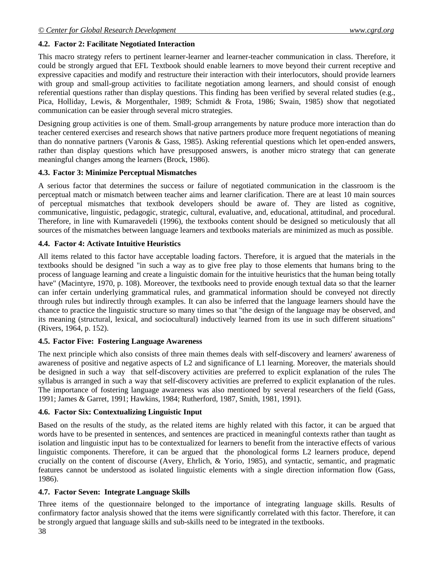## **4.2. Factor 2: Facilitate Negotiated Interaction**

This macro strategy refers to pertinent learner-learner and learner-teacher communication in class. Therefore, it could be strongly argued that EFL Textbook should enable learners to move beyond their current receptive and expressive capacities and modify and restructure their interaction with their interlocutors, should provide learners with group and small-group activities to facilitate negotiation among learners, and should consist of enough referential questions rather than display questions. This finding has been verified by several related studies (e.g., Pica, Holliday, Lewis, & Morgenthaler, 1989; Schmidt & Frota, 1986; Swain, 1985) show that negotiated communication can be easier through several micro strategies.

Designing group activities is one of them. Small-group arrangements by nature produce more interaction than do teacher centered exercises and research shows that native partners produce more frequent negotiations of meaning than do nonnative partners (Varonis & Gass, 1985). Asking referential questions which let open-ended answers, rather than display questions which have presupposed answers, is another micro strategy that can generate meaningful changes among the learners (Brock, 1986).

### **4.3. Factor 3: Minimize Perceptual Mismatches**

A serious factor that determines the success or failure of negotiated communication in the classroom is the perceptual match or mismatch between teacher aims and learner clarification. There are at least 10 main sources of perceptual mismatches that textbook developers should be aware of. They are listed as cognitive, communicative, linguistic, pedagogic, strategic, cultural, evaluative, and, educational, attitudinal, and procedural. Therefore, in line with Kumaravedeli (1996), the textbooks content should be designed so meticulously that all sources of the mismatches between language learners and textbooks materials are minimized as much as possible.

### **4.4. Factor 4: Activate Intuitive Heuristics**

All items related to this factor have acceptable loading factors. Therefore, it is argued that the materials in the textbooks should be designed "in such a way as to give free play to those elements that humans bring to the process of language learning and create a linguistic domain for the intuitive heuristics that the human being totally have" (Macintyre, 1970, p. 108). Moreover, the textbooks need to provide enough textual data so that the learner can infer certain underlying grammatical rules, and grammatical information should be conveyed not directly through rules but indirectly through examples. It can also be inferred that the language learners should have the chance to practice the linguistic structure so many times so that "the design of the language may be observed, and its meaning (structural, lexical, and sociocultural) inductively learned from its use in such different situations" (Rivers, 1964, p. 152).

# **4.5. Factor Five: Fostering Language Awareness**

The next principle which also consists of three main themes deals with self-discovery and learners' awareness of awareness of positive and negative aspects of L2 and significance of L1 learning. Moreover, the materials should be designed in such a way that self-discovery activities are preferred to explicit explanation of the rules The syllabus is arranged in such a way that self-discovery activities are preferred to explicit explanation of the rules. The importance of fostering language awareness was also mentioned by several researchers of the field (Gass, 1991; James & Garret, 1991; Hawkins, 1984; Rutherford, 1987, Smith, 1981, 1991).

# **4.6. Factor Six: Contextualizing Linguistic Input**

Based on the results of the study, as the related items are highly related with this factor, it can be argued that words have to be presented in sentences, and sentences are practiced in meaningful contexts rather than taught as isolation and linguistic input has to be contextualized for learners to benefit from the interactive effects of various linguistic components. Therefore, it can be argued that the phonological forms L2 learners produce, depend crucially on the content of discourse (Avery, Ehrlich, & Yorio, 1985), and syntactic, semantic, and pragmatic features cannot be understood as isolated linguistic elements with a single direction information flow (Gass, 1986).

# **4.7. Factor Seven: Integrate Language Skills**

Three items of the questionnaire belonged to the importance of integrating language skills. Results of confirmatory factor analysis showed that the items were significantly correlated with this factor. Therefore, it can be strongly argued that language skills and sub-skills need to be integrated in the textbooks.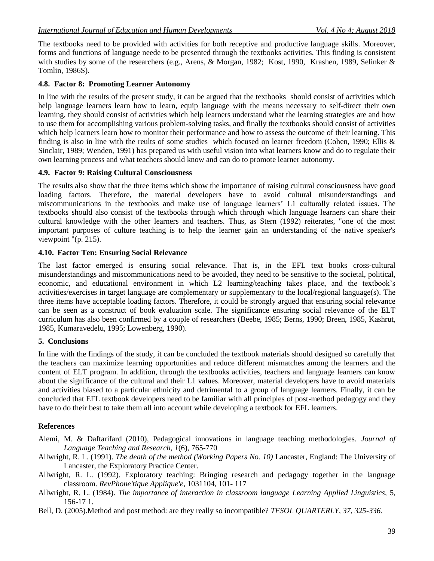The textbooks need to be provided with activities for both receptive and productive language skills. Moreover, forms and functions of language neede to be presented through the textbooks activities. This finding is consistent with studies by some of the researchers (e.g., Arens, & Morgan, 1982; Kost, 1990, Krashen, 1989, Selinker & Tomlin, 1986S).

### **4.8. Factor 8: Promoting Learner Autonomy**

In line with the results of the present study, it can be argued that the textbooks should consist of activities which help language learners learn how to learn, equip language with the means necessary to self-direct their own learning, they should consist of activities which help learners understand what the learning strategies are and how to use them for accomplishing various problem-solving tasks, and finally the textbooks should consist of activities which help learners learn how to monitor their performance and how to assess the outcome of their learning. This finding is also in line with the reults of some studies which focused on learner freedom (Cohen, 1990; Ellis & Sinclair, 1989; Wenden, 1991) has prepared us with useful vision into what learners know and do to regulate their own learning process and what teachers should know and can do to promote learner autonomy.

### **4.9. Factor 9: Raising Cultural Consciousness**

The results also show that the three items which show the importance of raising cultural consciousness have good loading factors. Therefore, the material developers have to avoid cultural misunderstandings and miscommunications in the textbooks and make use of language learners" L1 culturally related issues. The textbooks should also consist of the textbooks through which through which language learners can share their cultural knowledge with the other learners and teachers. Thus, as Stern (1992) reiterates, "one of the most important purposes of culture teaching is to help the learner gain an understanding of the native speaker's viewpoint "(p. 215).

### **4.10. Factor Ten: Ensuring Social Relevance**

The last factor emerged is ensuring social relevance. That is, in the EFL text books cross-cultural misunderstandings and miscommunications need to be avoided, they need to be sensitive to the societal, political, economic, and educational environment in which L2 learning/teaching takes place, and the textbook"s activities/exercises in target language are complementary or supplementary to the local/regional language(s). The three items have acceptable loading factors. Therefore, it could be strongly argued that ensuring social relevance can be seen as a construct of book evaluation scale. The significance ensuring social relevance of the ELT curriculum has also been confirmed by a couple of researchers (Beebe, 1985; Berns, 1990; Breen, 1985, Kashrut, 1985, Kumaravedelu, 1995; Lowenberg, 1990).

# **5. Conclusions**

In line with the findings of the study, it can be concluded the textbook materials should designed so carefully that the teachers can maximize learning opportunities and reduce different mismatches among the learners and the content of ELT program. In addition, through the textbooks activities, teachers and language learners can know about the significance of the cultural and their L1 values. Moreover, material developers have to avoid materials and activities biased to a particular ethnicity and detrimental to a group of language learners. Finally, it can be concluded that EFL textbook developers need to be familiar with all principles of post-method pedagogy and they have to do their best to take them all into account while developing a textbook for EFL learners.

# **References**

Alemi, M. & Daftarifard (2010), Pedagogical innovations in language teaching methodologies. *Journal of Language Teaching and Research, 1*(6), 765-770

Allwright, R. L. (1991). *The death of the method (Working Papers No. 10)* Lancaster, England: The University of Lancaster, the Exploratory Practice Center.

Allwright, R. L. (1992). Exploratory teaching: Bringing research and pedagogy together in the language classroom. *RevPhone'tique Applique'e,* 1031104, 101- 117

Allwright, R. L. (1984). *The importance of interaction in classroom language Learning Applied Linguistics,* 5, 156-17 1.

Bell, D. (2005).Method and post method: are they really so incompatible? *TESOL QUARTERLY, 37, 325-336.*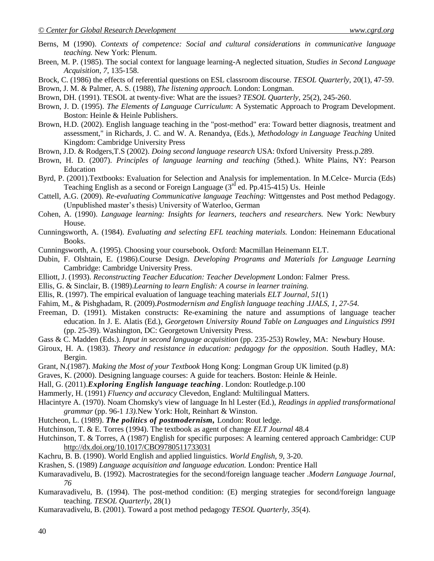- Berns, M (1990). *Contexts of competence: Social and cultural considerations in communicative language teaching.* New York: Plenum.
- Breen, M. P. (1985). The social context for language learning-A neglected situation, *Studies in Second Language Acquisition, 7,* 135-158.
- Brock, C. (1986) the effects of referential questions on ESL classroom discourse. *TESOL Quarterly,* 20(1), 47-59.

Brown, J. M. & Palmer, A. S. (1988), *The listening approach.* London: Longman.

- Brown, DH. (1991). TESOL at twenty-five: What are the issues? *TESOL Quarterly,* 25(2), 245-260.
- Brown, J. D. (1995). *The Elements of Language Curriculum*: A Systematic Approach to Program Development. Boston: Heinle & Heinle Publishers.
- Brown, H.D. (2002). English language teaching in the "post-method" era: Toward better diagnosis, treatment and assessment," in Richards, J. C. and W. A. Renandya, (Eds.), *Methodology in Language Teaching* United Kingdom: Cambridge University Press
- Brown, J.D. & Rodgers,T.S (2002). *Doing second language research* USA: 0xford University Press.p.289.
- Brown, H. D. (2007). *Principles of language learning and teaching* (5thed.). White Plains, NY: Pearson Education
- Byrd, P. (2001).Textbooks: Evaluation for Selection and Analysis for implementation. In M.Celce- Murcia (Eds) Teaching English as a second or Foreign Language  $(3<sup>rd</sup>$  ed. Pp.415-415) Us. Heinle
- Cattell, A.G. (2009). *Re-evaluating Communicative language Teaching:* Wittgenstes and Post method Pedagogy. (Unpublished master"s thesis) University of Waterloo, German
- Cohen, A. (1990). *Language learning: Insights for learners, teachers and researchers.* New York: Newbury House.
- Cunningsworth, A. (1984). *Evaluating and selecting EFL teaching materials.* London: Heinemann Educational Books.
- Cunningsworth, A. (1995). Choosing your coursebook. Oxford: Macmillan Heinemann ELT.
- Dubin, F. Olshtain, E. (1986).Course Design. *Developing Programs and Materials for Language Learning*  Cambridge: Cambridge University Press.
- Elliott, J. (1993). *Reconstructing Teacher Education: Teacher Development* London: Falmer Press.
- Ellis, G. & Sinclair, B. (1989).*Learning to learn English: A course in learner training.*
- Ellis, R. (1997). The empirical evaluation of language teaching materials *ELT Journal*, *51*(1)
- Fahim, M., & Pishghadam, R. (2009).*Postmodernism and English language teaching* .*IJALS, 1, 27-54.*
- Freeman, D. (1991). Mistaken constructs: Re-examining the nature and assumptions of language teacher education. In J. E. Alatis (Ed.), *Georgetown University Round Table on Languages and Linguistics I991*  (pp. 25-39). Washington, DC: Georgetown University Press.
- Gass & C. Madden (Eds.). *Input in second language acquisition* (pp. 235-253) Rowley, MA: Newbury House.
- Giroux, H. A. (1983). *Theory and resistance in education: pedagogy for the opposition*. South Hadley, MA: Bergin.
- Grant, N.(1987). *Making the Most of your Textbook* Hong Kong: Longman Group UK limited (p.8)
- Graves, K. (2000). Designing language courses: A guide for teachers. Boston: Heinle & Heinle.
- Hall, G. (2011).*Exploring English language teaching*. London: Routledge.p.100
- Hammerly, H. (1991) *Fluency and accuracy* Clevedon, England: Multilingual Matters.
- Hlacintyre A. (1970). Noam Chomsky's view of language In hl Lester (Ed.), *Readings in applied transformational grammar* (pp. 96-1 *13).*New York: Holt, Reinhart & Winston.
- Hutcheon, L. (1989). *The politics of postmodernism,* London: Rout ledge.
- Hutchinson, T. & E. Torres (1994). The textbook as agent of change *ELT Journal* 48.4
- Hutchinson, T. & Torres, A (1987) English for specific purposes: A learning centered approach Cambridge: CUP <http://dx.doi.org/10.1017/CBO9780511733031>
- Kachru, B. B. (1990). World English and applied linguistics. *World English, 9*, 3-20.
- Krashen, S. (1989) *Language acquisition and language education.* London: Prentice Hall
- Kumaravadivelu, B. (1992). Macrostrategies for the second/foreign language teacher .*Modern Language Journal*, *76*
- Kumaravadivelu, B. (1994). The post-method condition: (E) merging strategies for second/foreign language teaching. *TESOL Quarterly*, 28(1)
- Kumaravadivelu, B. (2001). Toward a post method pedagogy *TESOL Quarterly*, *35*(4).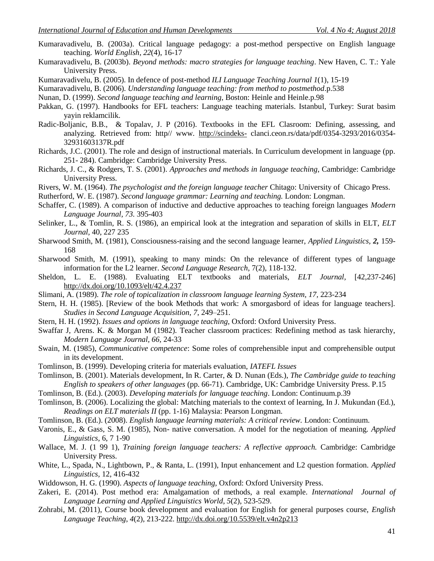- Kumaravadivelu, B. (2003a). Critical language pedagogy: a post-method perspective on English language teaching. *World English*, *22*(4), 16-17
- Kumaravadivelu, B. (2003b). *Beyond methods: macro strategies for language teaching*. New Haven, C. T.: Yale University Press.
- Kumaravadivelu, B. (2005). In defence of post-method *ILI Language Teaching Journal 1*(1), 15-19
- Kumaravadivelu, B. (2006). *Understanding language teaching: from method to postmethod*.p.538
- Nunan, D. (1999). *Second language teaching and learning*, Boston: Heinle and Heinle.p.98
- Pakkan, G. (1997). Handbooks for EFL teachers: Language teaching materials. Istanbul, Turkey: Surat basim yayin reklamcilik.
- Radic-Boljanic, B.B., & Topalav, J. P (2016). Textbooks in the EFL Clasroom: Defining, assessing, and analyzing. Retrieved from: http// www. [http://scindeks-](http://scindeks-/) clanci.ceon.rs/data/pdf/0354-3293/2016/0354- 32931603137R.pdf
- Richards, J.C. (2001). The role and design of instructional materials. In Curriculum development in language (pp. 251- 284). Cambridge: Cambridge University Press.
- Richards, J. C., & Rodgers, T. S. (2001). *Approaches and methods in language teaching*, Cambridge: Cambridge University Press.
- Rivers, W. M. (1964). *The psychologist and the foreign language teacher* Chitago: University of Chicago Press.
- Rutherford, W. E. (1987). *Second language grammar: Learning and teaching.* London: Longman.
- Schaffer, C. (1989). A comparison of inductive and deductive approaches to teaching foreign languages *Modern Language Journal, 73.* 395-403
- Selinker, L., & Tomlin, R. S. (1986), an empirical look at the integration and separation of skills in ELT, *ELT Journal,* 40, 227 235
- Sharwood Smith, M. (1981), Consciousness-raising and the second language learner, *Applied Linguistics, 2,* 159- 168
- Sharwood Smith, M. (1991), speaking to many minds: On the relevance of different types of language information for the L2 learner. *Second Language Research,* 7(2), 118-132.
- Sheldon, L. E. (1988). Evaluating ELT textbooks and materials, *ELT Journal,* [42,237-246] <http://dx.doi.org/10.1093/elt/42.4.237>
- Slimani, A. (1989). *The role of topicalization in classroom language learning System, 17,* 223-234
- Stern, H. H. (1985). [Review of the book Methods that work: A smorgasbord of ideas for language teachers]. *Studies in Second Language Acquisition*, *7*, 249–251.
- Stern, H. H. (1992). *Issues and options in language teaching,* Oxford: Oxford University Press.
- Swaffar J, Arens. K. & Morgan M (1982). Teacher classroom practices: Redefining method as task hierarchy, *Modern Language Journal, 66,* 24-33
- Swain, M. (1985), *Communicative competence*: Some roles of comprehensible input and comprehensible output in its development.
- Tomlinson, B. (1999). Developing criteria for materials evaluation, *IATEFL Issues*
- Tomlinson, B. (2001). Materials development, In R. Carter, & D. Nunan (Eds.), *The Cambridge guide to teaching English to speakers of other languages* (pp. 66-71). Cambridge, UK: Cambridge University Press. P.15
- Tomlinson, B. (Ed.). (2003). *Developing materials for language teaching*. London: Continuum.p.39
- Tomlinson, B. (2006). Localizing the global: Matching materials to the context of learning, In J. Mukundan (Ed.), *Readings on ELT materials II* (pp. 1-16) Malaysia: Pearson Longman.
- Tomlinson, B. (Ed.). (2008). *English language learning materials: A critical review.* London: Continuum.
- Varonis, E., & Gass, S. M. (1985), Non- native conversation. A model for the negotiation of meaning. *Applied Linguistics,* 6, 7 1-90
- Wallace, M. J. (1 99 1), *Training foreign language teachers: A reflective approach.* Cambridge: Cambridge University Press.
- White, L., Spada, N., Lightbown, P., & Ranta, L. (1991), Input enhancement and L2 question formation. *Applied Linguistics,* 12, 416-432
- Widdowson, H. G. (1990). *Aspects of language teaching,* Oxford: Oxford University Press.
- Zakeri, E. (2014). Post method era: Amalgamation of methods, a real example. *International Journal of Language Learning and Applied Linguistics World, 5*(2), 523-529.
- Zohrabi, M. (2011), Course book development and evaluation for English for general purposes course, *English Language Teaching*, *4*(2), 213-222.<http://dx.doi.org/10.5539/elt.v4n2p213>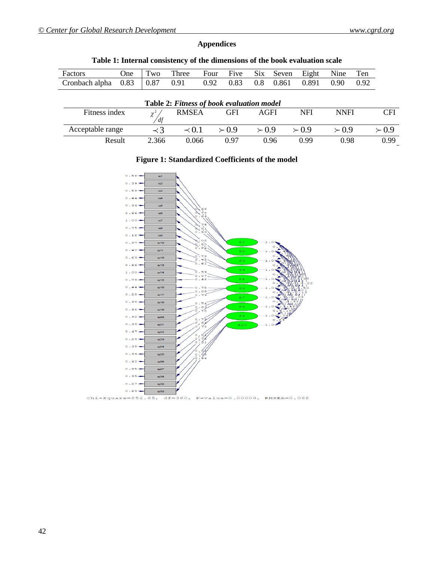### **Appendices**

| Factors                                   | One  | Two  | Three        | Four | Five        | <b>Six</b>  | Seven | Eight         | Nine          | Ten  |             |
|-------------------------------------------|------|------|--------------|------|-------------|-------------|-------|---------------|---------------|------|-------------|
| Cronbach alpha                            | 0.83 | 0.87 | 0.91         | 0.92 | 0.83        | 0.8         | 0.861 | 0.891         | 0.90          | 0.92 |             |
|                                           |      |      |              |      |             |             |       |               |               |      |             |
| Table 2: Fitness of book evaluation model |      |      |              |      |             |             |       |               |               |      |             |
| Fitness index                             |      |      | <b>RMSEA</b> |      | <b>GFI</b>  | AGFI        |       | <b>NFI</b>    | <b>NNFI</b>   |      | CFI         |
|                                           |      | df   |              |      |             |             |       |               |               |      |             |
| Acceptable range                          |      |      | $\prec$ 0.1  |      | $\succ 0.9$ | $\succ 0.9$ |       | $\approx 0.9$ | $\approx 0.9$ |      | $\succ$ 0.9 |

Result 2.366 0.066 0.97 0.96 0.99 0.98 0.99

### **Table 1: Internal consistency of the dimensions of the book evaluation scale**

#### **Figure 1: Standardized Coefficients of the model**